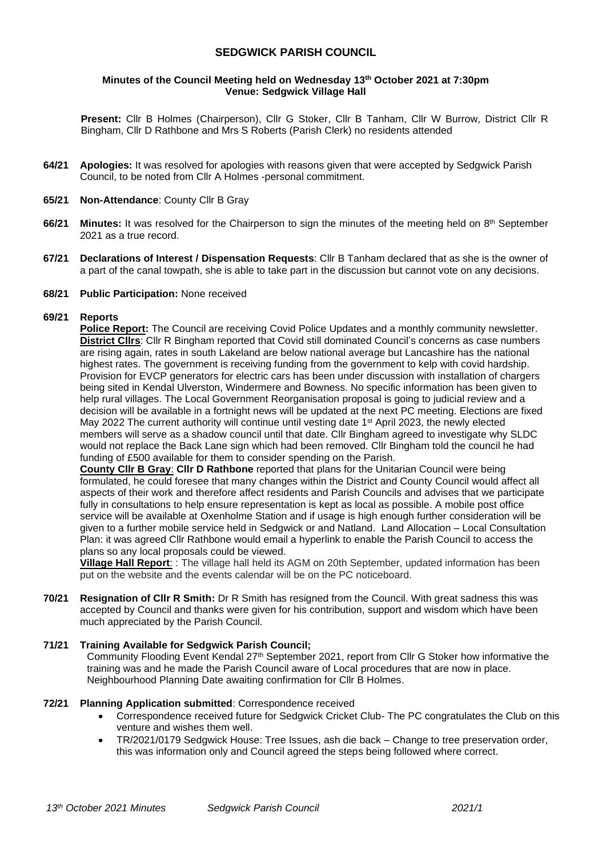# **SEDGWICK PARISH COUNCIL**

### **Minutes of the Council Meeting held on Wednesday 13th October 2021 at 7:30pm Venue: Sedgwick Village Hall**

**Present:** Cllr B Holmes (Chairperson), Cllr G Stoker, Cllr B Tanham, Cllr W Burrow, District Cllr R Bingham, Cllr D Rathbone and Mrs S Roberts (Parish Clerk) no residents attended

- **64/21 Apologies:** It was resolved for apologies with reasons given that were accepted by Sedgwick Parish Council, to be noted from Cllr A Holmes -personal commitment.
- **65/21 Non-Attendance**: County Cllr B Gray
- **66/21 Minutes:** It was resolved for the Chairperson to sign the minutes of the meeting held on 8<sup>th</sup> September 2021 as a true record.
- **67/21 Declarations of Interest / Dispensation Requests**: Cllr B Tanham declared that as she is the owner of a part of the canal towpath, she is able to take part in the discussion but cannot vote on any decisions.
- **68/21 Public Participation:** None received

#### **69/21 Reports**

**Police Report:** The Council are receiving Covid Police Updates and a monthly community newsletter. **District Cllrs**: Cllr R Bingham reported that Covid still dominated Council's concerns as case numbers are rising again, rates in south Lakeland are below national average but Lancashire has the national highest rates. The government is receiving funding from the government to kelp with covid hardship. Provision for EVCP generators for electric cars has been under discussion with installation of chargers being sited in Kendal Ulverston, Windermere and Bowness. No specific information has been given to help rural villages. The Local Government Reorganisation proposal is going to judicial review and a decision will be available in a fortnight news will be updated at the next PC meeting. Elections are fixed May 2022 The current authority will continue until vesting date 1<sup>st</sup> April 2023, the newly elected members will serve as a shadow council until that date. Cllr Bingham agreed to investigate why SLDC would not replace the Back Lane sign which had been removed. Cllr Bingham told the council he had funding of £500 available for them to consider spending on the Parish.

**County Cllr B Gray**: **Cllr D Rathbone** reported that plans for the Unitarian Council were being formulated, he could foresee that many changes within the District and County Council would affect all aspects of their work and therefore affect residents and Parish Councils and advises that we participate fully in consultations to help ensure representation is kept as local as possible. A mobile post office service will be available at Oxenholme Station and if usage is high enough further consideration will be given to a further mobile service held in Sedgwick or and Natland. Land Allocation – Local Consultation Plan: it was agreed Cllr Rathbone would email a hyperlink to enable the Parish Council to access the plans so any local proposals could be viewed.

**Village Hall Report**: : The village hall held its AGM on 20th September, updated information has been put on the website and the events calendar will be on the PC noticeboard.

**70/21 Resignation of Cllr R Smith:** Dr R Smith has resigned from the Council. With great sadness this was accepted by Council and thanks were given for his contribution, support and wisdom which have been much appreciated by the Parish Council.

#### **71/21 Training Available for Sedgwick Parish Council;**

Community Flooding Event Kendal 27th September 2021, report from Cllr G Stoker how informative the training was and he made the Parish Council aware of Local procedures that are now in place. Neighbourhood Planning Date awaiting confirmation for Cllr B Holmes.

#### **72/21 Planning Application submitted**: Correspondence received

- Correspondence received future for Sedgwick Cricket Club- The PC congratulates the Club on this venture and wishes them well.
- TR/2021/0179 Sedgwick House: Tree Issues, ash die back Change to tree preservation order, this was information only and Council agreed the steps being followed where correct.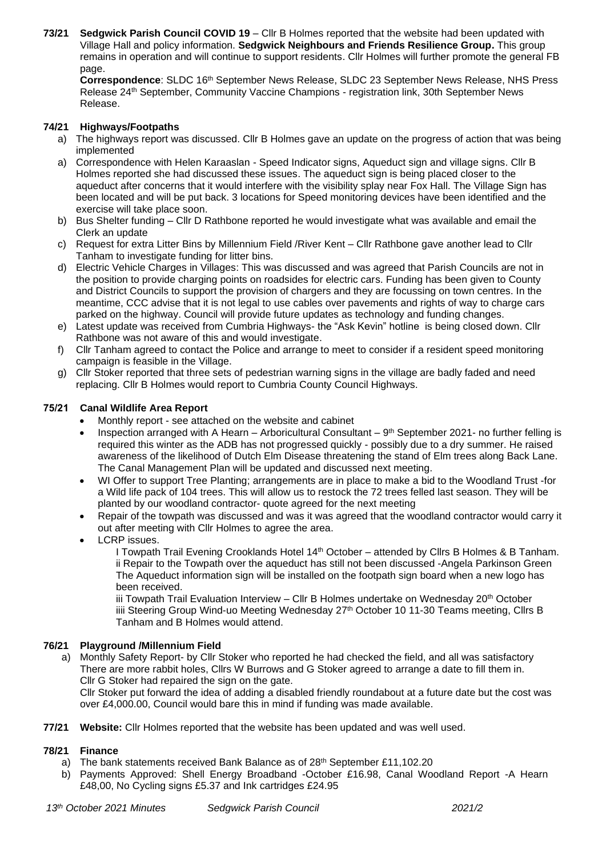**73/21 Sedgwick Parish Council COVID 19** – Cllr B Holmes reported that the website had been updated with Village Hall and policy information. **Sedgwick Neighbours and Friends Resilience Group.** This group remains in operation and will continue to support residents. Cllr Holmes will further promote the general FB page.

**Correspondence**: SLDC 16th September News Release, SLDC 23 September News Release, NHS Press Release 24th September, Community Vaccine Champions - registration link, 30th September News Release.

## **74/21 Highways/Footpaths**

- a) The highways report was discussed. Cllr B Holmes gave an update on the progress of action that was being implemented
- a) Correspondence with Helen Karaaslan Speed Indicator signs, Aqueduct sign and village signs. Cllr B Holmes reported she had discussed these issues. The aqueduct sign is being placed closer to the aqueduct after concerns that it would interfere with the visibility splay near Fox Hall. The Village Sign has been located and will be put back. 3 locations for Speed monitoring devices have been identified and the exercise will take place soon.
- b) Bus Shelter funding Cllr D Rathbone reported he would investigate what was available and email the Clerk an update
- c) Request for extra Litter Bins by Millennium Field /River Kent Cllr Rathbone gave another lead to Cllr Tanham to investigate funding for litter bins.
- d) Electric Vehicle Charges in Villages: This was discussed and was agreed that Parish Councils are not in the position to provide charging points on roadsides for electric cars. Funding has been given to County and District Councils to support the provision of chargers and they are focussing on town centres. In the meantime, CCC advise that it is not legal to use cables over pavements and rights of way to charge cars parked on the highway. Council will provide future updates as technology and funding changes.
- e) Latest update was received from Cumbria Highways- the "Ask Kevin" hotline is being closed down. Cllr Rathbone was not aware of this and would investigate.
- f) Cllr Tanham agreed to contact the Police and arrange to meet to consider if a resident speed monitoring campaign is feasible in the Village.
- g) Cllr Stoker reported that three sets of pedestrian warning signs in the village are badly faded and need replacing. Cllr B Holmes would report to Cumbria County Council Highways.

### **75/21 Canal Wildlife Area Report**

- Monthly report see attached on the website and cabinet
- Inspection arranged with A Hearn Arboricultural Consultant  $9<sup>th</sup>$  September 2021- no further felling is required this winter as the ADB has not progressed quickly - possibly due to a dry summer. He raised awareness of the likelihood of Dutch Elm Disease threatening the stand of Elm trees along Back Lane. The Canal Management Plan will be updated and discussed next meeting.
- WI Offer to support Tree Planting; arrangements are in place to make a bid to the Woodland Trust -for a Wild life pack of 104 trees. This will allow us to restock the 72 trees felled last season. They will be planted by our woodland contractor- quote agreed for the next meeting
- Repair of the towpath was discussed and was it was agreed that the woodland contractor would carry it out after meeting with Cllr Holmes to agree the area.
- LCRP issues.

I Towpath Trail Evening Crooklands Hotel 14<sup>th</sup> October – attended by Cllrs B Holmes & B Tanham. ii Repair to the Towpath over the aqueduct has still not been discussed -Angela Parkinson Green The Aqueduct information sign will be installed on the footpath sign board when a new logo has been received.

iii Towpath Trail Evaluation Interview – Cllr B Holmes undertake on Wednesday  $20<sup>th</sup>$  October iiii Steering Group Wind-uo Meeting Wednesday 27<sup>th</sup> October 10 11-30 Teams meeting, Cllrs B Tanham and B Holmes would attend.

### **76/21 Playground /Millennium Field**

- a) Monthly Safety Report- by Cllr Stoker who reported he had checked the field, and all was satisfactory There are more rabbit holes, Cllrs W Burrows and G Stoker agreed to arrange a date to fill them in. Cllr G Stoker had repaired the sign on the gate. Cllr Stoker put forward the idea of adding a disabled friendly roundabout at a future date but the cost was over £4,000.00, Council would bare this in mind if funding was made available.
- **77/21 Website:** Cllr Holmes reported that the website has been updated and was well used.

### **78/21 Finance**

- a) The bank statements received Bank Balance as of 28<sup>th</sup> September £11,102.20
- b) Payments Approved: Shell Energy Broadband -October £16.98, Canal Woodland Report -A Hearn £48,00, No Cycling signs £5.37 and Ink cartridges £24.95